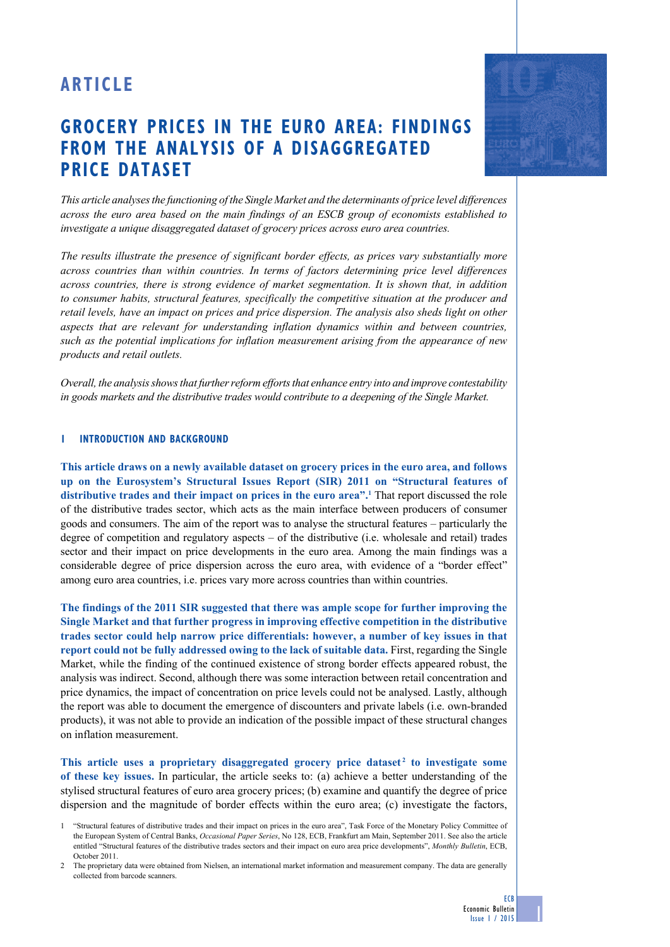# **ARTICLE**

## **GROCERY PRICES IN THE EURO AREA: FINDINGS FROM THE ANALYSIS OF A DISAGGREGATED PRICE DATASET**

*This article analyses the functioning of the Single Market and the determinants of price level differences across the euro area based on the main findings of an ESCB group of economists established to investigate a unique disaggregated dataset of grocery prices across euro area countries.* 

*The results illustrate the presence of significant border effects, as prices vary substantially more across countries than within countries. In terms of factors determining price level differences across countries, there is strong evidence of market segmentation. It is shown that, in addition to consumer habits, structural features, specifically the competitive situation at the producer and retail levels, have an impact on prices and price dispersion. The analysis also sheds light on other aspects that are relevant for understanding inflation dynamics within and between countries, such as the potential implications for inflation measurement arising from the appearance of new products and retail outlets.*

*Overall, the analysis shows that further reform efforts that enhance entry into and improve contestability in goods markets and the distributive trades would contribute to a deepening of the Single Market.*

## **1 introduction and background**

**This article draws on a newly available dataset on grocery prices in the euro area, and follows up on the Eurosystem's Structural Issues Report (SIR) 2011 on "Structural features of distributive trades and their impact on prices in the euro area".1** That report discussed the role of the distributive trades sector, which acts as the main interface between producers of consumer goods and consumers. The aim of the report was to analyse the structural features – particularly the degree of competition and regulatory aspects – of the distributive (i.e. wholesale and retail) trades sector and their impact on price developments in the euro area. Among the main findings was a considerable degree of price dispersion across the euro area, with evidence of a "border effect" among euro area countries, i.e. prices vary more across countries than within countries.

**The findings of the 2011 SIR suggested that there was ample scope for further improving the Single Market and that further progress in improving effective competition in the distributive trades sector could help narrow price differentials: however, a number of key issues in that report could not be fully addressed owing to the lack of suitable data.** First, regarding the Single Market, while the finding of the continued existence of strong border effects appeared robust, the analysis was indirect. Second, although there was some interaction between retail concentration and price dynamics, the impact of concentration on price levels could not be analysed. Lastly, although the report was able to document the emergence of discounters and private labels (i.e. own-branded products), it was not able to provide an indication of the possible impact of these structural changes on inflation measurement.

**This article uses a proprietary disaggregated grocery price dataset <sup>2</sup> to investigate some of these key issues.** In particular, the article seeks to: (a) achieve a better understanding of the stylised structural features of euro area grocery prices; (b) examine and quantify the degree of price dispersion and the magnitude of border effects within the euro area; (c) investigate the factors,

2 The proprietary data were obtained from Nielsen, an international market information and measurement company. The data are generally collected from barcode scanners.

ECB

<sup>1</sup> "Structural features of distributive trades and their impact on prices in the euro area", Task Force of the Monetary Policy Committee of the European System of Central Banks, *Occasional Paper Series*, No 128, ECB, Frankfurt am Main, September 2011. See also the article entitled "Structural features of the distributive trades sectors and their impact on euro area price developments", *Monthly Bulletin*, ECB, October 2011.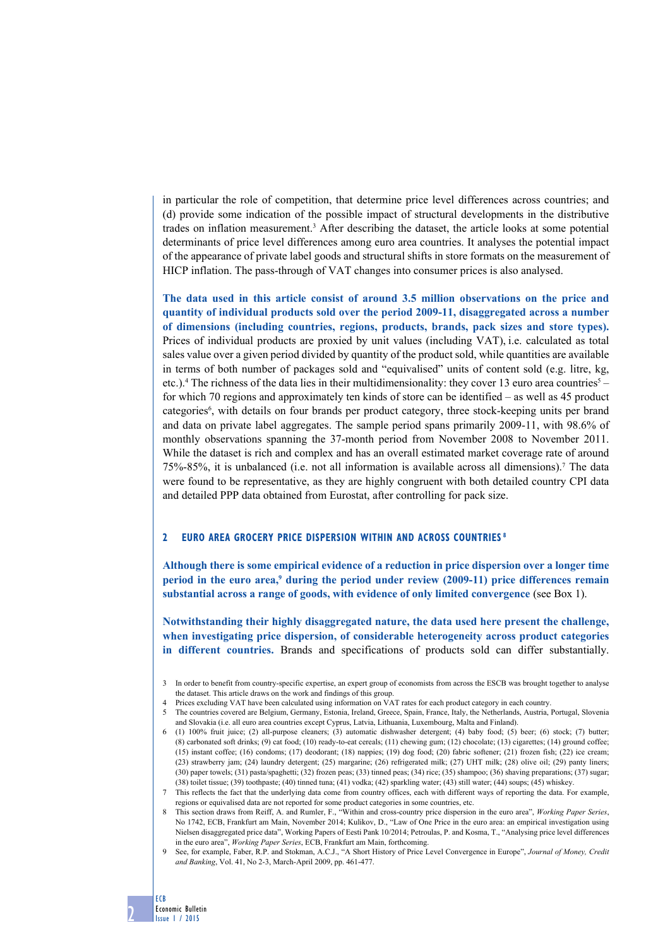in particular the role of competition, that determine price level differences across countries; and (d) provide some indication of the possible impact of structural developments in the distributive trades on inflation measurement.3 After describing the dataset, the article looks at some potential determinants of price level differences among euro area countries. It analyses the potential impact of the appearance of private label goods and structural shifts in store formats on the measurement of HICP inflation. The pass-through of VAT changes into consumer prices is also analysed.

**The data used in this article consist of around 3.5 million observations on the price and quantity of individual products sold over the period 2009-11, disaggregated across a number of dimensions (including countries, regions, products, brands, pack sizes and store types).** Prices of individual products are proxied by unit values (including VAT), i.e. calculated as total sales value over a given period divided by quantity of the product sold, while quantities are available in terms of both number of packages sold and "equivalised" units of content sold (e.g. litre, kg, etc.).<sup>4</sup> The richness of the data lies in their multidimensionality: they cover 13 euro area countries<sup>5</sup> – for which 70 regions and approximately ten kinds of store can be identified – as well as 45 product categories<sup>6</sup>, with details on four brands per product category, three stock-keeping units per brand and data on private label aggregates. The sample period spans primarily 2009-11, with 98.6% of monthly observations spanning the 37-month period from November 2008 to November 2011. While the dataset is rich and complex and has an overall estimated market coverage rate of around 75%-85%, it is unbalanced (i.e. not all information is available across all dimensions).7 The data were found to be representative, as they are highly congruent with both detailed country CPI data and detailed PPP data obtained from Eurostat, after controlling for pack size.

## **2 euro area grocery price dispersion within and across countries 8**

**Although there is some empirical evidence of a reduction in price dispersion over a longer time**  period in the euro area,<sup>9</sup> during the period under review (2009-11) price differences remain **substantial across a range of goods, with evidence of only limited convergence** (see Box 1).

**Notwithstanding their highly disaggregated nature, the data used here present the challenge, when investigating price dispersion, of considerable heterogeneity across product categories in different countries.** Brands and specifications of products sold can differ substantially.

6 (1) 100% fruit juice; (2) all-purpose cleaners; (3) automatic dishwasher detergent; (4) baby food; (5) beer; (6) stock; (7) butter; (8) carbonated soft drinks; (9) cat food; (10) ready-to-eat cereals; (11) chewing gum; (12) chocolate; (13) cigarettes; (14) ground coffee; (15) instant coffee; (16) condoms; (17) deodorant; (18) nappies; (19) dog food; (20) fabric softener; (21) frozen fish; (22) ice cream; (23) strawberry jam; (24) laundry detergent; (25) margarine; (26) refrigerated milk; (27) UHT milk; (28) olive oil; (29) panty liners; (30) paper towels; (31) pasta/spaghetti; (32) frozen peas; (33) tinned peas; (34) rice; (35) shampoo; (36) shaving preparations; (37) sugar; (38) toilet tissue; (39) toothpaste; (40) tinned tuna; (41) vodka; (42) sparkling water; (43) still water; (44) soups; (45) whiskey.

8 This section draws from Reiff, A. and Rumler, F., "Within and cross-country price dispersion in the euro area", *Working Paper Series*, No 1742, ECB, Frankfurt am Main, November 2014; Kulikov, D., "Law of One Price in the euro area: an empirical investigation using Nielsen disaggregated price data", Working Papers of Eesti Pank 10/2014; Petroulas, P. and Kosma, T., "Analysing price level differences in the euro area", *Working Paper Series*, ECB, Frankfurt am Main, forthcoming.

9 See, for example, Faber, R.P. and Stokman, A.C.J., "A Short History of Price Level Convergence in Europe", *Journal of Money, Credit and Banking*, Vol. 41, No 2-3, March-April 2009, pp. 461-477.



<sup>3</sup> In order to benefit from country-specific expertise, an expert group of economists from across the ESCB was brought together to analyse the dataset. This article draws on the work and findings of this group.

<sup>4</sup> Prices excluding VAT have been calculated using information on VAT rates for each product category in each country.

<sup>5</sup> The countries covered are Belgium, Germany, Estonia, Ireland, Greece, Spain, France, Italy, the Netherlands, Austria, Portugal, Slovenia and Slovakia (i.e. all euro area countries except Cyprus, Latvia, Lithuania, Luxembourg, Malta and Finland).

<sup>7</sup> This reflects the fact that the underlying data come from country offices, each with different ways of reporting the data. For example, regions or equivalised data are not reported for some product categories in some countries, etc.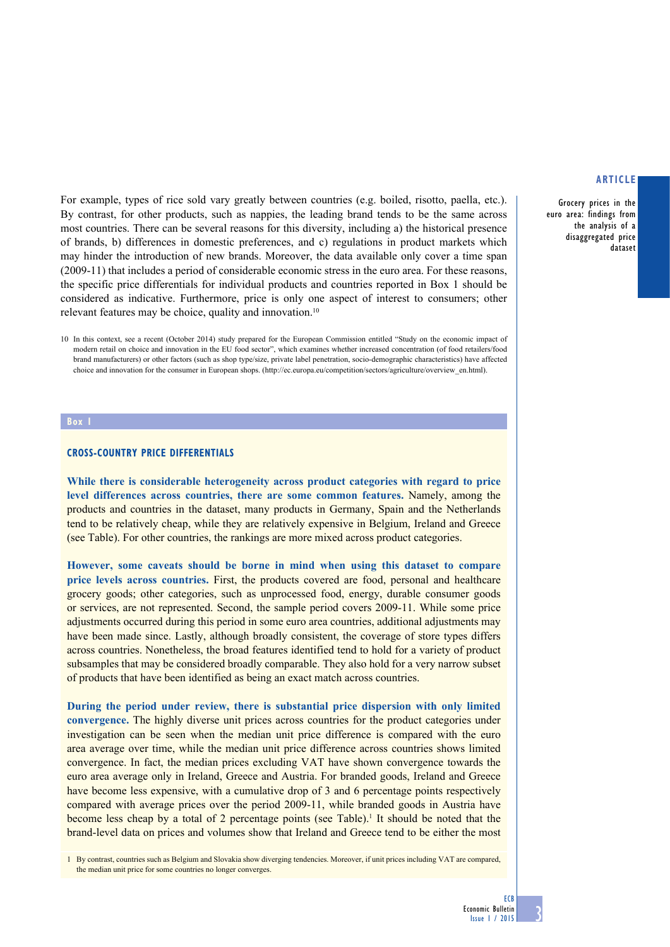For example, types of rice sold vary greatly between countries (e.g. boiled, risotto, paella, etc.). By contrast, for other products, such as nappies, the leading brand tends to be the same across most countries. There can be several reasons for this diversity, including a) the historical presence of brands, b) differences in domestic preferences, and c) regulations in product markets which may hinder the introduction of new brands. Moreover, the data available only cover a time span (2009-11) that includes a period of considerable economic stress in the euro area. For these reasons, the specific price differentials for individual products and countries reported in Box 1 should be considered as indicative. Furthermore, price is only one aspect of interest to consumers; other relevant features may be choice, quality and innovation.<sup>10</sup>

### **Box 1**

## **CROSS-COUNTRY PRICE DIFFERENTIALS**

**While there is considerable heterogeneity across product categories with regard to price level differences across countries, there are some common features.** Namely, among the products and countries in the dataset, many products in Germany, Spain and the Netherlands tend to be relatively cheap, while they are relatively expensive in Belgium, Ireland and Greece (see Table). For other countries, the rankings are more mixed across product categories.

**However, some caveats should be borne in mind when using this dataset to compare price levels across countries.** First, the products covered are food, personal and healthcare grocery goods; other categories, such as unprocessed food, energy, durable consumer goods or services, are not represented. Second, the sample period covers 2009-11. While some price adjustments occurred during this period in some euro area countries, additional adjustments may have been made since. Lastly, although broadly consistent, the coverage of store types differs across countries. Nonetheless, the broad features identified tend to hold for a variety of product subsamples that may be considered broadly comparable. They also hold for a very narrow subset of products that have been identified as being an exact match across countries.

**During the period under review, there is substantial price dispersion with only limited convergence.** The highly diverse unit prices across countries for the product categories under investigation can be seen when the median unit price difference is compared with the euro area average over time, while the median unit price difference across countries shows limited convergence. In fact, the median prices excluding VAT have shown convergence towards the euro area average only in Ireland, Greece and Austria. For branded goods, Ireland and Greece have become less expensive, with a cumulative drop of 3 and 6 percentage points respectively compared with average prices over the period 2009-11, while branded goods in Austria have become less cheap by a total of 2 percentage points (see Table).<sup>1</sup> It should be noted that the brand-level data on prices and volumes show that Ireland and Greece tend to be either the most

1 By contrast, countries such as Belgium and Slovakia show diverging tendencies. Moreover, if unit prices including VAT are compared, the median unit price for some countries no longer converges.

## **article**

Grocery prices in the euro area: findings from the analysis of a disaggregated price dataset

**ECB** 

<sup>10</sup> In this context, see a recent (October 2014) study prepared for the European Commission entitled "Study on the economic impact of modern retail on choice and innovation in the EU food sector", which examines whether increased concentration (of food retailers/food brand manufacturers) or other factors (such as shop type/size, private label penetration, socio-demographic characteristics) have affected choice and innovation for the consumer in European shops. [\(http://ec.europa.eu/competition/sectors/agriculture/overview\\_en.html](http://ec.europa.eu/competition/sectors/agriculture/overview_en.html)).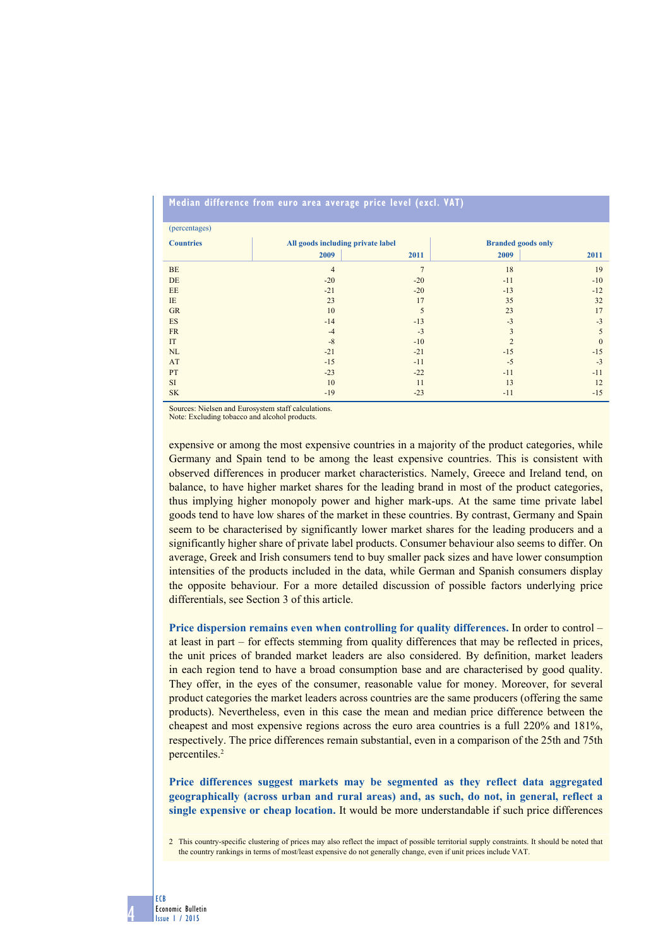## **Median difference from euro area average price level (excl. VAT)**

| (percentages)    |                                   |                |                           |              |  |
|------------------|-----------------------------------|----------------|---------------------------|--------------|--|
| <b>Countries</b> | All goods including private label |                | <b>Branded goods only</b> |              |  |
|                  | 2009                              | 2011           | 2009                      | 2011         |  |
| <b>BE</b>        | $\overline{4}$                    | $\overline{7}$ | 18                        | 19           |  |
| DE               | $-20$                             | $-20$          | $-11$                     | $-10$        |  |
| EE               | $-21$                             | $-20$          | $-13$                     | $-12$        |  |
| IE               | 23                                | 17             | 35                        | 32           |  |
| <b>GR</b>        | 10                                | 5              | 23                        | 17           |  |
| ES               | $-14$                             | $-13$          | $-3$                      | $-3$         |  |
| <b>FR</b>        | $-4$                              | $-3$           | 3                         | 5            |  |
| IT               | $-8$                              | $-10$          | $\mathfrak{D}$            | $\mathbf{0}$ |  |
| NL               | $-21$                             | $-21$          | $-15$                     | $-15$        |  |
| AT               | $-15$                             | $-11$          | $-5$                      | $-3$         |  |
| PT               | $-23$                             | $-22$          | $-11$                     | $-11$        |  |
| <b>SI</b>        | 10                                | 11             | 13                        | 12           |  |
| <b>SK</b>        | $-19$                             | $-23$          | $-11$                     | $-15$        |  |

Sources: Nielsen and Eurosystem staff calculations. Note: Excluding tobacco and alcohol products.

expensive or among the most expensive countries in a majority of the product categories, while Germany and Spain tend to be among the least expensive countries. This is consistent with observed differences in producer market characteristics. Namely, Greece and Ireland tend, on balance, to have higher market shares for the leading brand in most of the product categories, thus implying higher monopoly power and higher mark-ups. At the same time private label goods tend to have low shares of the market in these countries. By contrast, Germany and Spain seem to be characterised by significantly lower market shares for the leading producers and a significantly higher share of private label products. Consumer behaviour also seems to differ. On average, Greek and Irish consumers tend to buy smaller pack sizes and have lower consumption intensities of the products included in the data, while German and Spanish consumers display the opposite behaviour. For a more detailed discussion of possible factors underlying price differentials, see Section 3 of this article.

**Price dispersion remains even when controlling for quality differences.** In order to control – at least in part – for effects stemming from quality differences that may be reflected in prices, the unit prices of branded market leaders are also considered. By definition, market leaders in each region tend to have a broad consumption base and are characterised by good quality. They offer, in the eyes of the consumer, reasonable value for money. Moreover, for several product categories the market leaders across countries are the same producers (offering the same products). Nevertheless, even in this case the mean and median price difference between the cheapest and most expensive regions across the euro area countries is a full 220% and 181%, respectively. The price differences remain substantial, even in a comparison of the 25th and 75th percentiles.<sup>2</sup>

**Price differences suggest markets may be segmented as they reflect data aggregated geographically (across urban and rural areas) and, as such, do not, in general, reflect a single expensive or cheap location.** It would be more understandable if such price differences

2 This country-specific clustering of prices may also reflect the impact of possible territorial supply constraints. It should be noted that the country rankings in terms of most/least expensive do not generally change, even if unit prices include VAT.

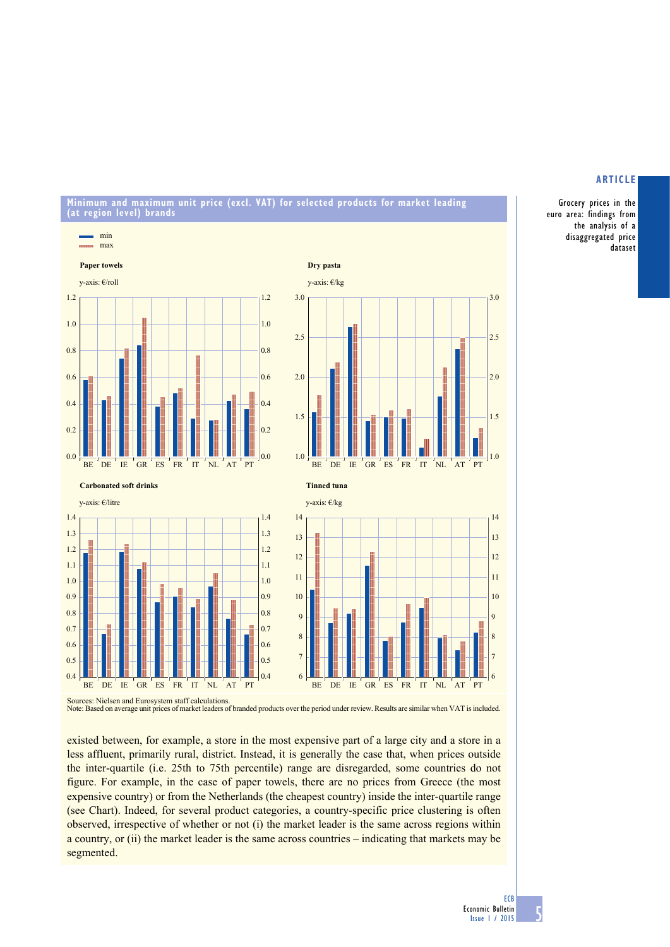#### **Minimum and maximum unit price (excl. VAT) for selected products for market leading (at region level) brands**



Grocery prices in the euro area: findings from the analysis of a disaggregated price dataset

**article**

Note: Based on average unit prices of market leaders of branded products over the period under review. Results are similar when VAT is included.

existed between, for example, a store in the most expensive part of a large city and a store in a less affluent, primarily rural, district. Instead, it is generally the case that, when prices outside the inter-quartile (i.e. 25th to 75th percentile) range are disregarded, some countries do not figure. For example, in the case of paper towels, there are no prices from Greece (the most expensive country) or from the Netherlands (the cheapest country) inside the inter-quartile range (see Chart). Indeed, for several product categories, a country-specific price clustering is often observed, irrespective of whether or not (i) the market leader is the same across regions within a country, or (ii) the market leader is the same across countries – indicating that markets may be segmented.

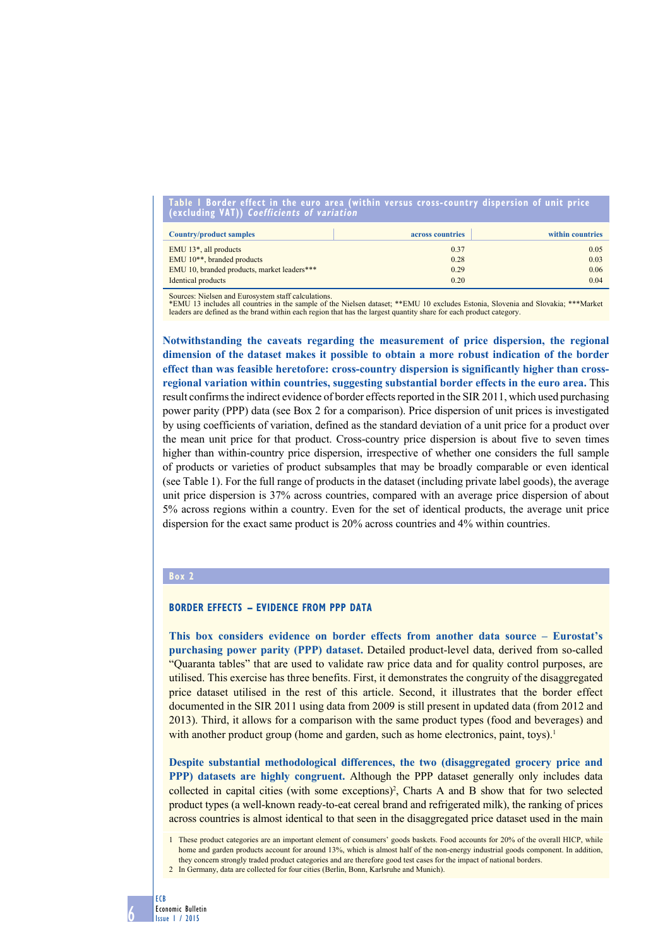#### **Table 1 border effect in the euro area (within versus cross-country dispersion of unit price (excluding VAT)) Coefficients of variation**

| <b>Country/product samples</b>              | across countries | within countries |
|---------------------------------------------|------------------|------------------|
| EMU $13^*$ , all products                   | 0.37             | 0.05             |
| EMU 10 <sup>**</sup> , branded products     | 0.28             | 0.03             |
| EMU 10, branded products, market leaders*** | 0.29             | 0.06             |
| Identical products                          | 0.20             | 0.04             |

Sources: Nielsen and Eurosystem staff calculations.

\*EMU 13 includes all countries in the sample of the Nielsen dataset; \*\*EMU 10 excludes Estonia, Slovenia and Slovakia; \*\*\*Market leaders are defined as the brand within each region that has the largest quantity share for each product category.

**Notwithstanding the caveats regarding the measurement of price dispersion, the regional dimension of the dataset makes it possible to obtain a more robust indication of the border effect than was feasible heretofore: cross-country dispersion is significantly higher than crossregional variation within countries, suggesting substantial border effects in the euro area.** This result confirms the indirect evidence of border effects reported in the SIR 2011, which used purchasing power parity (PPP) data (see Box 2 for a comparison). Price dispersion of unit prices is investigated by using coefficients of variation, defined as the standard deviation of a unit price for a product over the mean unit price for that product. Cross-country price dispersion is about five to seven times higher than within-country price dispersion, irrespective of whether one considers the full sample of products or varieties of product subsamples that may be broadly comparable or even identical (see Table 1). For the full range of products in the dataset (including private label goods), the average unit price dispersion is 37% across countries, compared with an average price dispersion of about 5% across regions within a country. Even for the set of identical products, the average unit price dispersion for the exact same product is 20% across countries and 4% within countries.

#### **Box 2**

## **BORDER EFFECTS – EVIDENCE FROM PPP DATA**

**This box considers evidence on border effects from another data source – Eurostat's purchasing power parity (PPP) dataset.** Detailed product-level data, derived from so-called "Quaranta tables" that are used to validate raw price data and for quality control purposes, are utilised. This exercise has three benefits. First, it demonstrates the congruity of the disaggregated price dataset utilised in the rest of this article. Second, it illustrates that the border effect documented in the SIR 2011 using data from 2009 is still present in updated data (from 2012 and 2013). Third, it allows for a comparison with the same product types (food and beverages) and with another product group (home and garden, such as home electronics, paint, toys).<sup>1</sup>

**Despite substantial methodological differences, the two (disaggregated grocery price and PPP) datasets are highly congruent.** Although the PPP dataset generally only includes data collected in capital cities (with some exceptions)<sup>2</sup>, Charts A and B show that for two selected product types (a well-known ready-to-eat cereal brand and refrigerated milk), the ranking of prices across countries is almost identical to that seen in the disaggregated price dataset used in the main

<sup>2</sup> In Germany, data are collected for four cities (Berlin, Bonn, Karlsruhe and Munich).



<sup>1</sup> These product categories are an important element of consumers' goods baskets. Food accounts for 20% of the overall HICP, while home and garden products account for around 13%, which is almost half of the non-energy industrial goods component. In addition they concern strongly traded product categories and are therefore good test cases for the impact of national borders.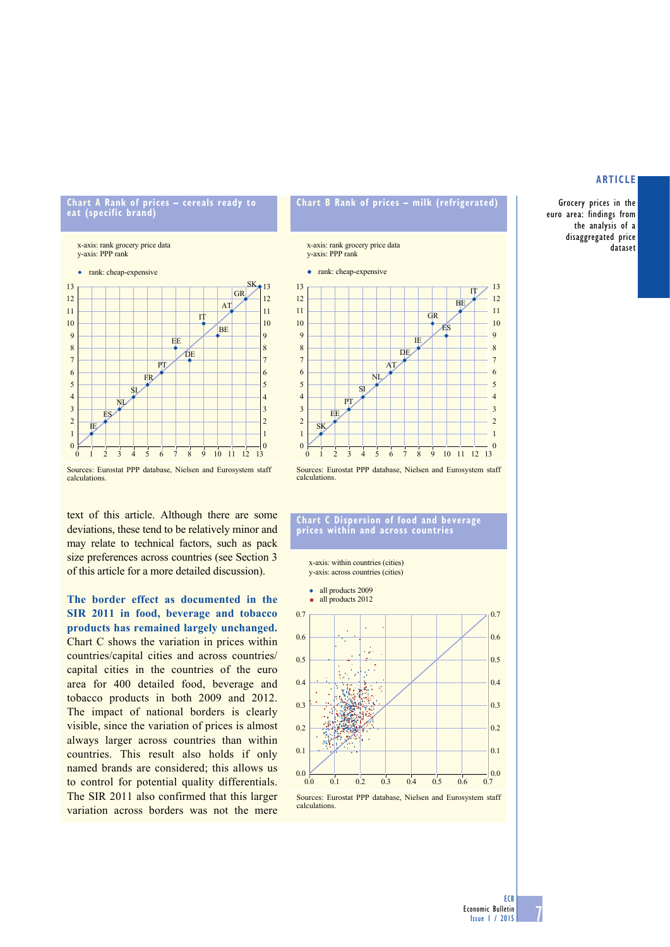Grocery prices in the euro area: findings from the analysis of a disaggregated price dataset

#### **Chart A Rank of prices – cereals ready to eat (specific brand)**

x-axis: rank grocery price data y-axis: PPP rank







text of this article. Although there are some deviations, these tend to be relatively minor and may relate to technical factors, such as pack size preferences across countries (see Section 3 of this article for a more detailed discussion).

**The border effect as documented in the SIR 2011 in food, beverage and tobacco products has remained largely unchanged.** Chart C shows the variation in prices within countries/capital cities and across countries/ capital cities in the countries of the euro area for 400 detailed food, beverage and tobacco products in both 2009 and 2012. The impact of national borders is clearly visible, since the variation of prices is almost always larger across countries than within countries. This result also holds if only named brands are considered; this allows us to control for potential quality differentials. The SIR 2011 also confirmed that this larger variation across borders was not the mere

## **Chart b Rank of prices – milk (refrigerated)**

x-axis: rank grocery price data<br>y-axis: PPP rank

• rank: cheap-expensive



Sources: Eurostat PPP database, Nielsen and Eurosystem staff calculations.

#### **Chart C Dispersion of food and beverage prices within and across countries**

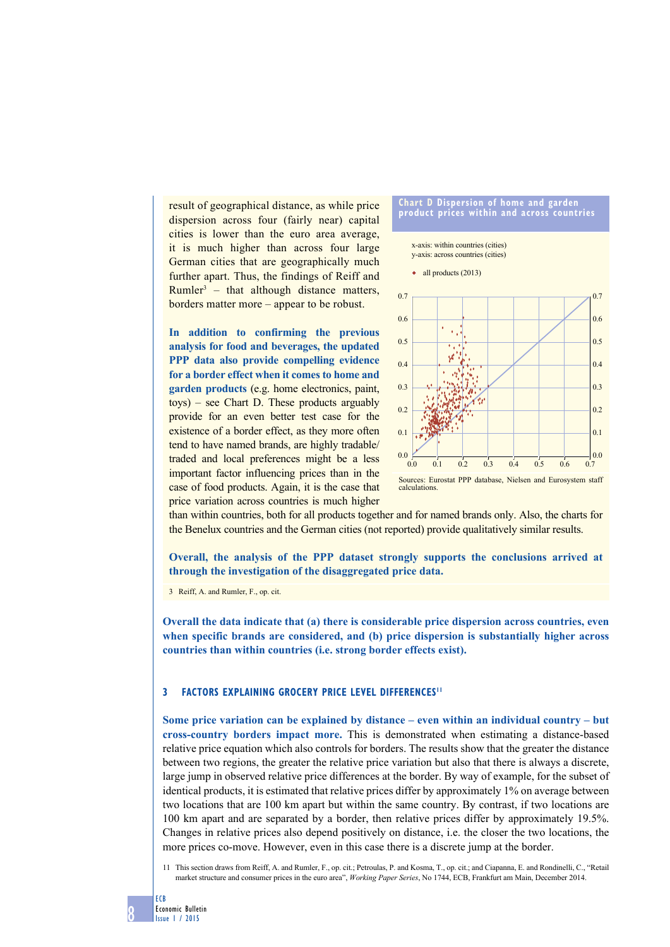result of geographical distance, as while price dispersion across four (fairly near) capital cities is lower than the euro area average, it is much higher than across four large German cities that are geographically much further apart. Thus, the findings of Reiff and Rumler<sup>3</sup> – that although distance matters, borders matter more – appear to be robust.

**In addition to confirming the previous analysis for food and beverages, the updated PPP data also provide compelling evidence for a border effect when it comes to home and garden products** (e.g. home electronics, paint, toys) – see Chart D. These products arguably provide for an even better test case for the existence of a border effect, as they more often tend to have named brands, are highly tradable/ traded and local preferences might be a less important factor influencing prices than in the case of food products. Again, it is the case that price variation across countries is much higher



Sources: Eurostat PPP database, Nielsen and Eurosystem staff calculations.

than within countries, both for all products together and for named brands only. Also, the charts for the Benelux countries and the German cities (not reported) provide qualitatively similar results.

**Overall, the analysis of the PPP dataset strongly supports the conclusions arrived at through the investigation of the disaggregated price data.**

3 Reiff, A. and Rumler, F., op. cit.

**Overall the data indicate that (a) there is considerable price dispersion across countries, even when specific brands are considered, and (b) price dispersion is substantially higher across countries than within countries (i.e. strong border effects exist).**

#### **3 factors explaining grocery price level differences11**

**Some price variation can be explained by distance – even within an individual country – but cross-country borders impact more.** This is demonstrated when estimating a distance-based relative price equation which also controls for borders. The results show that the greater the distance between two regions, the greater the relative price variation but also that there is always a discrete, large jump in observed relative price differences at the border. By way of example, for the subset of identical products, it is estimated that relative prices differ by approximately 1% on average between two locations that are 100 km apart but within the same country. By contrast, if two locations are 100 km apart and are separated by a border, then relative prices differ by approximately 19.5%. Changes in relative prices also depend positively on distance, i.e. the closer the two locations, the more prices co-move. However, even in this case there is a discrete jump at the border.

11 This section draws from Reiff, A. and Rumler, F., op. cit.; Petroulas, P. and Kosma, T., op. cit.; and Ciapanna, E. and Rondinelli, C., "Retail market structure and consumer prices in the euro area", *Working Paper Series*, No 1744, ECB, Frankfurt am Main, December 2014.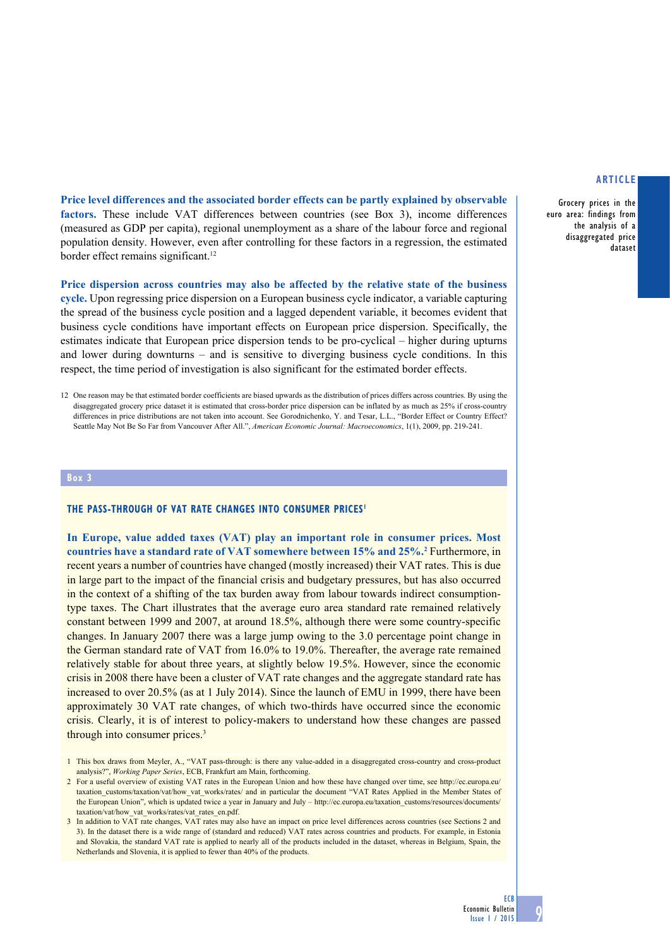Grocery prices in the euro area: findings from the analysis of a disaggregated price dataset

**Price level differences and the associated border effects can be partly explained by observable factors.** These include VAT differences between countries (see Box 3), income differences (measured as GDP per capita), regional unemployment as a share of the labour force and regional population density. However, even after controlling for these factors in a regression, the estimated border effect remains significant.<sup>12</sup>

**Price dispersion across countries may also be affected by the relative state of the business cycle.** Upon regressing price dispersion on a European business cycle indicator, a variable capturing the spread of the business cycle position and a lagged dependent variable, it becomes evident that business cycle conditions have important effects on European price dispersion. Specifically, the estimates indicate that European price dispersion tends to be pro-cyclical – higher during upturns and lower during downturns – and is sensitive to diverging business cycle conditions. In this respect, the time period of investigation is also significant for the estimated border effects.

#### **Box 3**

#### **The pass-through of VAT rate changes into consumer prices1**

**In Europe, value added taxes (VAT) play an important role in consumer prices. Most**  countries have a standard rate of VAT somewhere between 15% and 25%.<sup>2</sup> Furthermore, in recent years a number of countries have changed (mostly increased) their VAT rates. This is due in large part to the impact of the financial crisis and budgetary pressures, but has also occurred in the context of a shifting of the tax burden away from labour towards indirect consumptiontype taxes. The Chart illustrates that the average euro area standard rate remained relatively constant between 1999 and 2007, at around 18.5%, although there were some country-specific changes. In January 2007 there was a large jump owing to the 3.0 percentage point change in the German standard rate of VAT from 16.0% to 19.0%. Thereafter, the average rate remained relatively stable for about three years, at slightly below 19.5%. However, since the economic crisis in 2008 there have been a cluster of VAT rate changes and the aggregate standard rate has increased to over 20.5% (as at 1 July 2014). Since the launch of EMU in 1999, there have been approximately 30 VAT rate changes, of which two-thirds have occurred since the economic crisis. Clearly, it is of interest to policy-makers to understand how these changes are passed through into consumer prices.3

**ECB** 

<sup>12</sup> One reason may be that estimated border coefficients are biased upwards as the distribution of prices differs across countries. By using the disaggregated grocery price dataset it is estimated that cross-border price dispersion can be inflated by as much as 25% if cross-country differences in price distributions are not taken into account. See Gorodnichenko, Y. and Tesar, L.L., "Border Effect or Country Effect? Seattle May Not Be So Far from Vancouver After All.", *American Economic Journal: Macroeconomics*, 1(1), 2009, pp. 219-241.

<sup>1</sup> This box draws from Meyler, A., "VAT pass-through: is there any value-added in a disaggregated cross-country and cross-product analysis?", *Working Paper Series*, ECB, Frankfurt am Main, forthcoming.

<sup>2</sup> For a useful overview of existing VAT rates in the European Union and how these have changed over time, see http://ec.europa.eu/ taxation\_customs/taxation/vat/how\_vat\_works/rates/ and in particular the document "VAT Rates Applied in the Member States of the European Union", which is updated twice a year in January and July – http://ec.europa.eu/taxation\_customs/resources/documents/ taxation/vat/how\_vat\_works/rates/vat\_rates\_en.pdf.

<sup>3</sup> In addition to VAT rate changes, VAT rates may also have an impact on price level differences across countries (see Sections 2 and 3). In the dataset there is a wide range of (standard and reduced) VAT rates across countries and products. For example, in Estonia and Slovakia, the standard VAT rate is applied to nearly all of the products included in the dataset, whereas in Belgium, Spain, the Netherlands and Slovenia, it is applied to fewer than 40% of the products.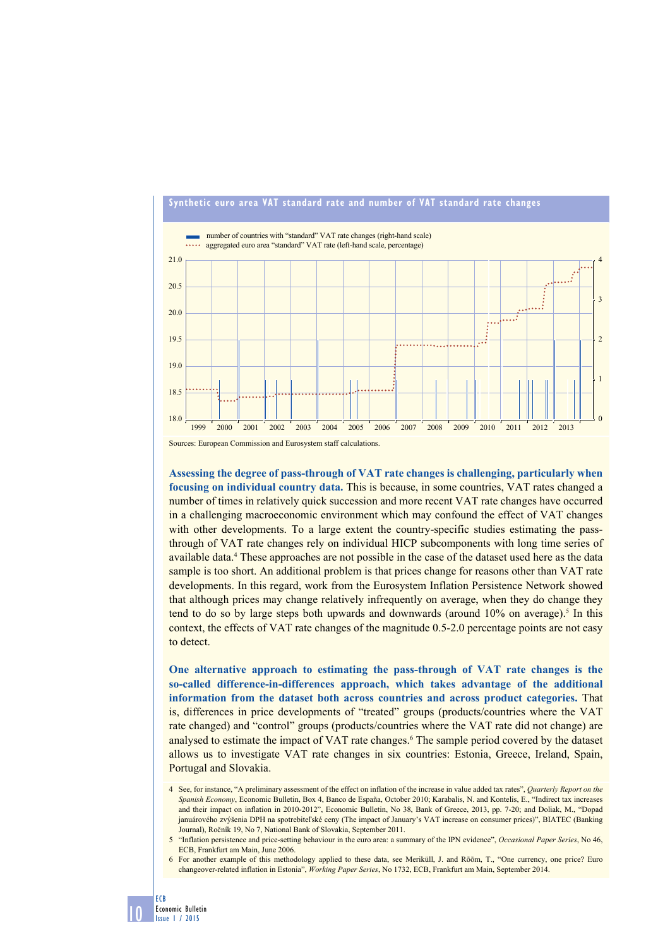

## **Synthetic euro area VAT standard rate and number of VAT standard rate changes**

Sources: European Commission and Eurosystem staff calculations.

**Assessing the degree of pass-through of VAT rate changes is challenging, particularly when focusing on individual country data.** This is because, in some countries, VAT rates changed a number of times in relatively quick succession and more recent VAT rate changes have occurred in a challenging macroeconomic environment which may confound the effect of VAT changes with other developments. To a large extent the country-specific studies estimating the passthrough of VAT rate changes rely on individual HICP subcomponents with long time series of available data.<sup>4</sup> These approaches are not possible in the case of the dataset used here as the data sample is too short. An additional problem is that prices change for reasons other than VAT rate developments. In this regard, work from the Eurosystem Inflation Persistence Network showed that although prices may change relatively infrequently on average, when they do change they tend to do so by large steps both upwards and downwards (around  $10\%$  on average).<sup>5</sup> In this context, the effects of VAT rate changes of the magnitude 0.5-2.0 percentage points are not easy to detect.

**One alternative approach to estimating the pass-through of VAT rate changes is the so-called difference-in-differences approach, which takes advantage of the additional information from the dataset both across countries and across product categories.** That is, differences in price developments of "treated" groups (products/countries where the VAT rate changed) and "control" groups (products/countries where the VAT rate did not change) are analysed to estimate the impact of VAT rate changes.<sup>6</sup> The sample period covered by the dataset allows us to investigate VAT rate changes in six countries: Estonia, Greece, Ireland, Spain, Portugal and Slovakia.

<sup>4</sup> See, for instance, "A preliminary assessment of the effect on inflation of the increase in value added tax rates", *Quarterly Report on the Spanish Economy*, Economic Bulletin, Box 4, Banco de España, October 2010; Karabalis, N. and Kontelis, E., "Indirect tax increases and their impact on inflation in 2010-2012", Economic Bulletin, No 38, Bank of Greece, 2013, pp. 7-20; and Doliak, M., "Dopad januárového zvýšenia DPH na spotrebiteľské ceny (The impact of January's VAT increase on consumer prices)", BIATEC (Banking Journal), Ročník 19, No 7, National Bank of Slovakia, September 2011.

<sup>5</sup> "Inflation persistence and price-setting behaviour in the euro area: a summary of the IPN evidence", *Occasional Paper Series*, No 46, ECB, Frankfurt am Main, June 2006.

<sup>6</sup> For another example of this methodology applied to these data, see Meriküll, J. and Rõõm, T., "One currency, one price? Euro changeover-related inflation in Estonia", *Working Paper Series*, No 1732, ECB, Frankfurt am Main, September 2014.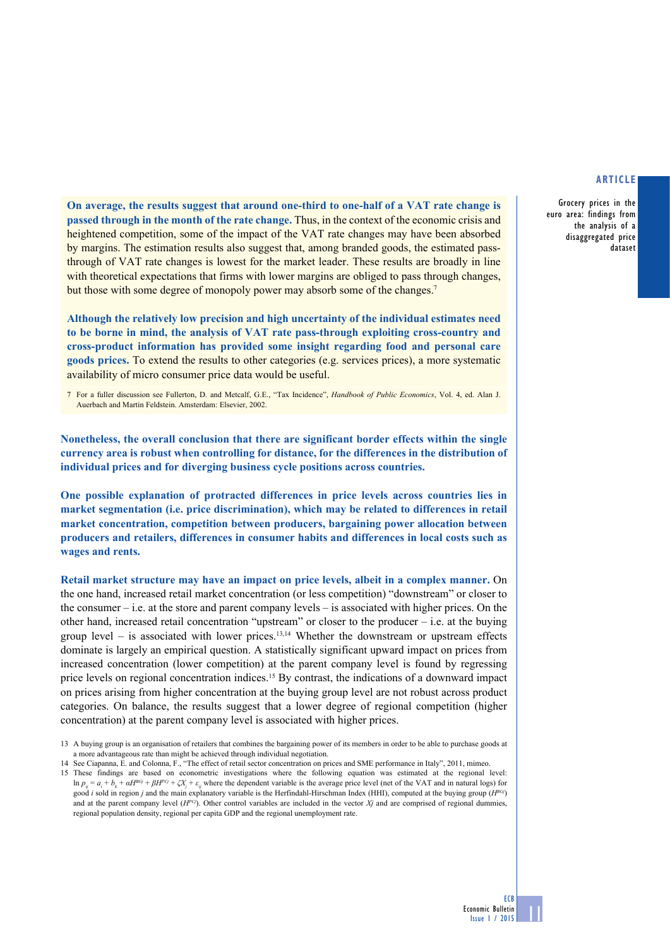Grocery prices in the euro area: findings from the analysis of a disaggregated price dataset

**On average, the results suggest that around one-third to one-half of a VAT rate change is passed through in the month of the rate change.** Thus, in the context of the economic crisis and heightened competition, some of the impact of the VAT rate changes may have been absorbed by margins. The estimation results also suggest that, among branded goods, the estimated passthrough of VAT rate changes is lowest for the market leader. These results are broadly in line with theoretical expectations that firms with lower margins are obliged to pass through changes, but those with some degree of monopoly power may absorb some of the changes.7

**Although the relatively low precision and high uncertainty of the individual estimates need to be borne in mind, the analysis of VAT rate pass-through exploiting cross-country and cross-product information has provided some insight regarding food and personal care goods prices.** To extend the results to other categories (e.g. services prices), a more systematic availability of micro consumer price data would be useful.

**Nonetheless, the overall conclusion that there are significant border effects within the single currency area is robust when controlling for distance, for the differences in the distribution of individual prices and for diverging business cycle positions across countries.** 

**One possible explanation of protracted differences in price levels across countries lies in market segmentation (i.e. price discrimination), which may be related to differences in retail market concentration, competition between producers, bargaining power allocation between producers and retailers, differences in consumer habits and differences in local costs such as wages and rents.** 

**Retail market structure may have an impact on price levels, albeit in a complex manner.** On the one hand, increased retail market concentration (or less competition) "downstream" or closer to the consumer – i.e. at the store and parent company levels – is associated with higher prices. On the other hand, increased retail concentration "upstream" or closer to the producer  $-$  i.e. at the buying group level – is associated with lower prices.<sup>13,14</sup> Whether the downstream or upstream effects dominate is largely an empirical question. A statistically significant upward impact on prices from increased concentration (lower competition) at the parent company level is found by regressing price levels on regional concentration indices.15 By contrast, the indications of a downward impact on prices arising from higher concentration at the buying group level are not robust across product categories. On balance, the results suggest that a lower degree of regional competition (higher concentration) at the parent company level is associated with higher prices.

**ECB** 

<sup>7</sup> For a fuller discussion see Fullerton, D. and Metcalf, G.E., "Tax Incidence", *Handbook of Public Economics*, Vol. 4, ed. Alan J. Auerbach and Martin Feldstein. Amsterdam: Elsevier, 2002.

<sup>13</sup> A buying group is an organisation of retailers that combines the bargaining power of its members in order to be able to purchase goods at a more advantageous rate than might be achieved through individual negotiation.

<sup>14</sup> See Ciapanna, E. and Colonna, F., "The effect of retail sector concentration on prices and SME performance in Italy", 2011, mimeo.

<sup>15</sup> These findings are based on econometric investigations where the following equation was estimated at the regional level: ln  $p_i = a_i + b_i + \alpha H^{B(j)} + \beta H^{P(j)} + \zeta X + \varepsilon$ , where the dependent variable is the average price level (net of the VAT and in natural logs) for good *i* sold in region *j* and the main explanatory variable is the Herfindahl-Hirschman Index (HHI), computed at the buying group (*HBGj*) and at the parent company level (*HPCj*). Other control variables are included in the vector *Xj* and are comprised of regional dummies, regional population density, regional per capita GDP and the regional unemployment rate.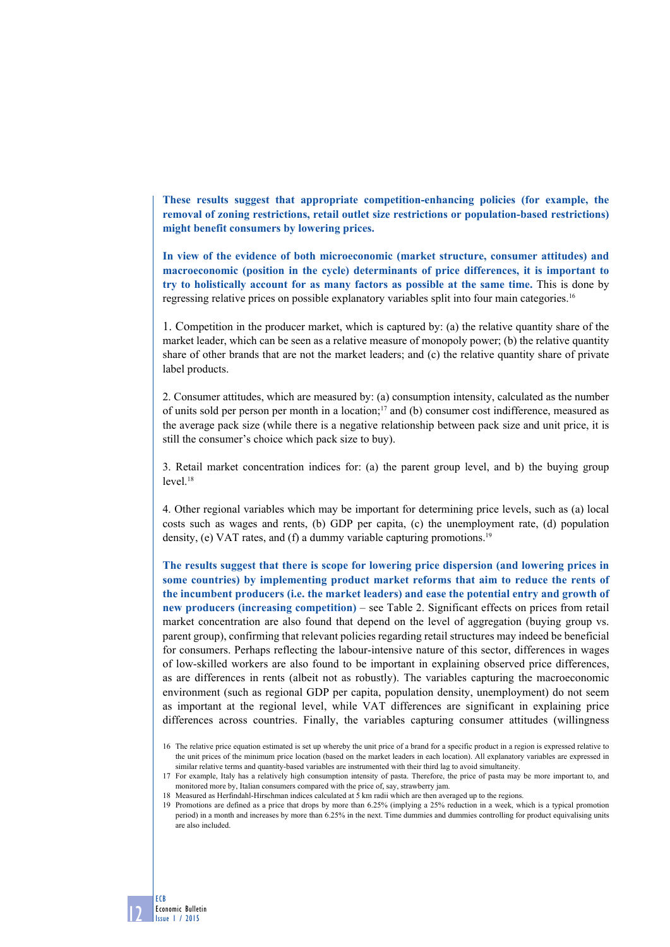**These results suggest that appropriate competition-enhancing policies (for example, the removal of zoning restrictions, retail outlet size restrictions or population-based restrictions) might benefit consumers by lowering prices.**

**In view of the evidence of both microeconomic (market structure, consumer attitudes) and macroeconomic (position in the cycle) determinants of price differences, it is important to try to holistically account for as many factors as possible at the same time.** This is done by regressing relative prices on possible explanatory variables split into four main categories.16

1. Competition in the producer market, which is captured by: (a) the relative quantity share of the market leader, which can be seen as a relative measure of monopoly power; (b) the relative quantity share of other brands that are not the market leaders; and (c) the relative quantity share of private label products.

2. Consumer attitudes, which are measured by: (a) consumption intensity, calculated as the number of units sold per person per month in a location;<sup>17</sup> and (b) consumer cost indifference, measured as the average pack size (while there is a negative relationship between pack size and unit price, it is still the consumer's choice which pack size to buy).

3. Retail market concentration indices for: (a) the parent group level, and b) the buying group  $level<sup>18</sup>$ 

4. Other regional variables which may be important for determining price levels, such as (a) local costs such as wages and rents, (b) GDP per capita, (c) the unemployment rate, (d) population density, (e) VAT rates, and (f) a dummy variable capturing promotions.<sup>19</sup>

**The results suggest that there is scope for lowering price dispersion (and lowering prices in some countries) by implementing product market reforms that aim to reduce the rents of the incumbent producers (i.e. the market leaders) and ease the potential entry and growth of new producers (increasing competition)** – see Table 2. Significant effects on prices from retail market concentration are also found that depend on the level of aggregation (buying group vs. parent group), confirming that relevant policies regarding retail structures may indeed be beneficial for consumers. Perhaps reflecting the labour-intensive nature of this sector, differences in wages of low-skilled workers are also found to be important in explaining observed price differences, as are differences in rents (albeit not as robustly). The variables capturing the macroeconomic environment (such as regional GDP per capita, population density, unemployment) do not seem as important at the regional level, while VAT differences are significant in explaining price differences across countries. Finally, the variables capturing consumer attitudes (willingness

<sup>16</sup> The relative price equation estimated is set up whereby the unit price of a brand for a specific product in a region is expressed relative to the unit prices of the minimum price location (based on the market leaders in each location). All explanatory variables are expressed in similar relative terms and quantity-based variables are instrumented with their third lag to avoid simultaneity.

<sup>17</sup> For example, Italy has a relatively high consumption intensity of pasta. Therefore, the price of pasta may be more important to, and monitored more by, Italian consumers compared with the price of, say, strawberry jam.

<sup>18</sup> Measured as Herfindahl-Hirschman indices calculated at 5 km radii which are then averaged up to the regions.

<sup>19</sup> Promotions are defined as a price that drops by more than 6.25% (implying a 25% reduction in a week, which is a typical promotion period) in a month and increases by more than 6.25% in the next. Time dummies and dummies controlling for product equivalising units are also included.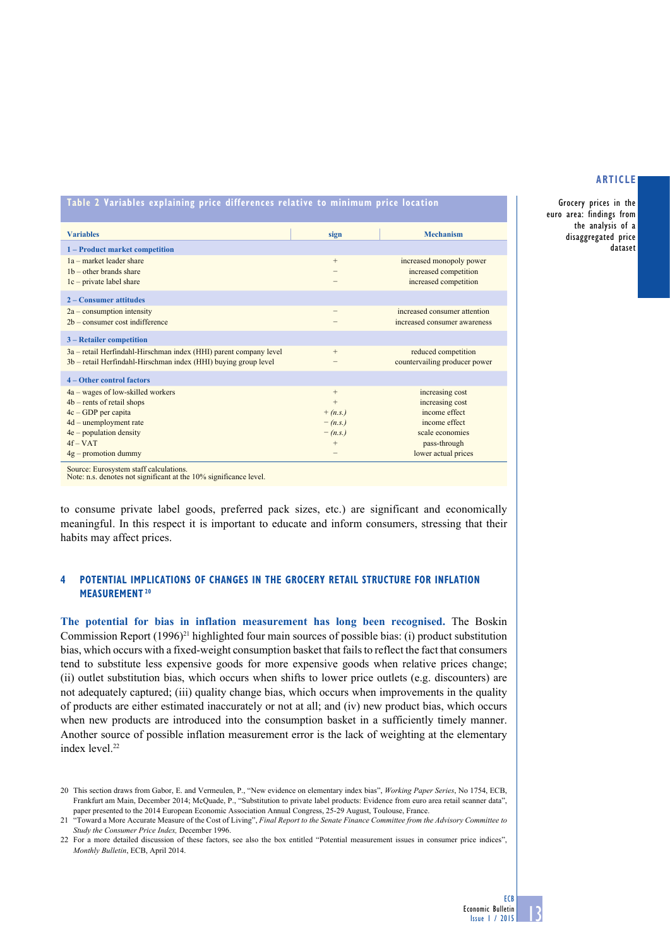Grocery prices in the euro area: findings from the analysis of a disaggregated price dataset

**Table 2 Variables explaining price differences relative to minimum price location**

| <b>Variables</b>                                                  | sign      | <b>Mechanism</b>              |
|-------------------------------------------------------------------|-----------|-------------------------------|
| 1 – Product market competition                                    |           |                               |
| 1a – market leader share                                          | $^{+}$    | increased monopoly power      |
| $1b$ – other brands share                                         | -         | increased competition         |
| $1c$ – private label share                                        |           | increased competition         |
| 2 – Consumer attitudes                                            |           |                               |
| $2a$ – consumption intensity                                      | -         | increased consumer attention  |
| $2b$ – consumer cost indifference                                 |           | increased consumer awareness  |
| 3 – Retailer competition                                          |           |                               |
| 3a – retail Herfindahl-Hirschman index (HHI) parent company level | $+$       | reduced competition           |
| 3b – retail Herfindahl-Hirschman index (HHI) buying group level   |           | countervailing producer power |
| 4 – Other control factors                                         |           |                               |
| $4a - wages of low-skilled workers$                               | $+$       | increasing cost               |
| $4b$ – rents of retail shops                                      | $+$       | increasing cost               |
| $4c - GDP$ per capita                                             | $+(n.s.)$ | income effect                 |
| $4d$ – unemployment rate                                          | $-(n.s.)$ | income effect                 |
| $4e$ – population density                                         | $-(n.s.)$ | scale economies               |
| $4f-VAT$                                                          | $^{+}$    | pass-through                  |
| $4g$ – promotion dummy                                            |           | lower actual prices           |
|                                                                   |           |                               |

Source: Eurosystem staff calculations. Note: n.s. denotes not significant at the 10% significance level.

to consume private label goods, preferred pack sizes, etc.) are significant and economically meaningful. In this respect it is important to educate and inform consumers, stressing that their habits may affect prices.

## **4 potential implications of changes in the grocery retail structure for inflation measurement 20**

**The potential for bias in inflation measurement has long been recognised.** The Boskin Commission Report  $(1996)^{21}$  highlighted four main sources of possible bias: (i) product substitution bias, which occurs with a fixed-weight consumption basket that fails to reflect the fact that consumers tend to substitute less expensive goods for more expensive goods when relative prices change; (ii) outlet substitution bias, which occurs when shifts to lower price outlets (e.g. discounters) are not adequately captured; (iii) quality change bias, which occurs when improvements in the quality of products are either estimated inaccurately or not at all; and (iv) new product bias, which occurs when new products are introduced into the consumption basket in a sufficiently timely manner. Another source of possible inflation measurement error is the lack of weighting at the elementary index level.<sup>22</sup>

<sup>20</sup> This section draws from Gabor, E. and Vermeulen, P., "New evidence on elementary index bias", *Working Paper Series*, No 1754, ECB, Frankfurt am Main, December 2014; McQuade, P., "Substitution to private label products: Evidence from euro area retail scanner data", paper presented to the 2014 European Economic Association Annual Congress, 25-29 August, Toulouse, France.

<sup>21</sup> "Toward a More Accurate Measure of the Cost of Living", *Final Report to the Senate Finance Committee from the Advisory Committee to Study the Consumer Price Index,* December 1996.

<sup>22</sup> For a more detailed discussion of these factors, see also the box entitled "Potential measurement issues in consumer price indices", *Monthly Bulletin*, ECB, April 2014.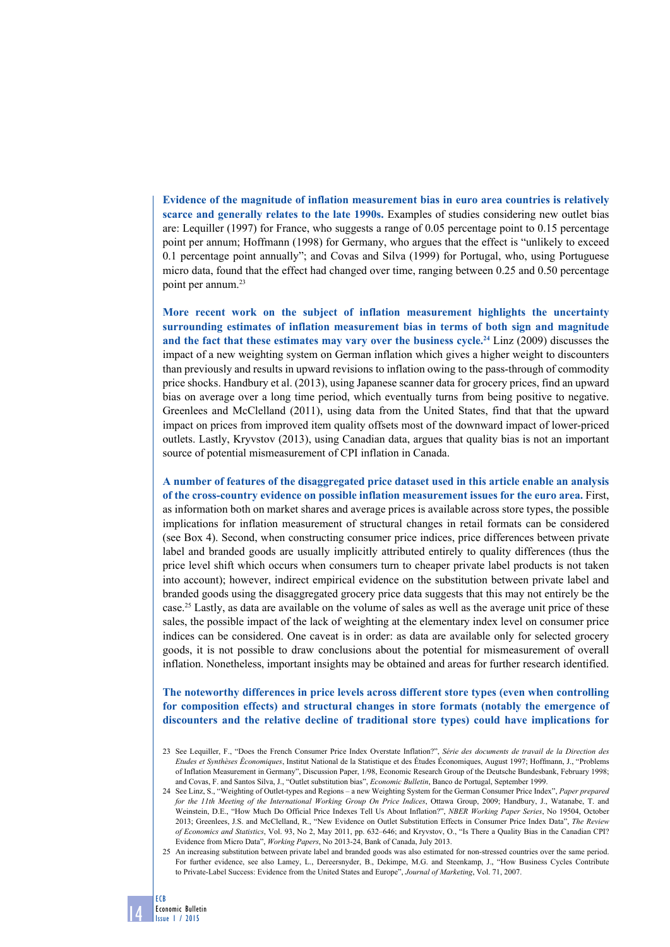**Evidence of the magnitude of inflation measurement bias in euro area countries is relatively scarce and generally relates to the late 1990s.** Examples of studies considering new outlet bias are: Lequiller (1997) for France, who suggests a range of 0.05 percentage point to 0.15 percentage point per annum; Hoffmann (1998) for Germany, who argues that the effect is "unlikely to exceed 0.1 percentage point annually"; and Covas and Silva (1999) for Portugal, who, using Portuguese micro data, found that the effect had changed over time, ranging between 0.25 and 0.50 percentage point per annum.<sup>23</sup>

**More recent work on the subject of inflation measurement highlights the uncertainty surrounding estimates of inflation measurement bias in terms of both sign and magnitude and the fact that these estimates may vary over the business cycle.24** Linz (2009) discusses the impact of a new weighting system on German inflation which gives a higher weight to discounters than previously and results in upward revisions to inflation owing to the pass-through of commodity price shocks. Handbury et al. (2013), using Japanese scanner data for grocery prices, find an upward bias on average over a long time period, which eventually turns from being positive to negative. Greenlees and McClelland (2011), using data from the United States, find that that the upward impact on prices from improved item quality offsets most of the downward impact of lower-priced outlets. Lastly, Kryvstov (2013), using Canadian data, argues that quality bias is not an important source of potential mismeasurement of CPI inflation in Canada.

**A number of features of the disaggregated price dataset used in this article enable an analysis of the cross-country evidence on possible inflation measurement issues for the euro area.** First, as information both on market shares and average prices is available across store types, the possible implications for inflation measurement of structural changes in retail formats can be considered (see Box 4). Second, when constructing consumer price indices, price differences between private label and branded goods are usually implicitly attributed entirely to quality differences (thus the price level shift which occurs when consumers turn to cheaper private label products is not taken into account); however, indirect empirical evidence on the substitution between private label and branded goods using the disaggregated grocery price data suggests that this may not entirely be the case.25 Lastly, as data are available on the volume of sales as well as the average unit price of these sales, the possible impact of the lack of weighting at the elementary index level on consumer price indices can be considered. One caveat is in order: as data are available only for selected grocery goods, it is not possible to draw conclusions about the potential for mismeasurement of overall inflation. Nonetheless, important insights may be obtained and areas for further research identified.

## **The noteworthy differences in price levels across different store types (even when controlling for composition effects) and structural changes in store formats (notably the emergence of discounters and the relative decline of traditional store types) could have implications for**

<sup>25</sup> An increasing substitution between private label and branded goods was also estimated for non-stressed countries over the same period. For further evidence, see also Lamey, L., Dereersnyder, B., Dekimpe, M.G. and Steenkamp, J., "How Business Cycles Contribute to Private-Label Success: Evidence from the United States and Europe", *Journal of Marketing*, Vol. 71, 2007.



<sup>23</sup> See Lequiller, F., "Does the French Consumer Price Index Overstate Inflation?", *Série des documents de travail de la Direction des Etudes et Synthèses Économiques*, Institut National de la Statistique et des Études Économiques, August 1997; Hoffmann, J., "Problems of Inflation Measurement in Germany", Discussion Paper, 1/98, Economic Research Group of the Deutsche Bundesbank, February 1998; and Covas, F. and Santos Silva, J., "Outlet substitution bias", *Economic Bulletin*, Banco de Portugal, September 1999.

<sup>24</sup> See Linz, S., "Weighting of Outlet-types and Regions – a new Weighting System for the German Consumer Price Index", *Paper prepared for the 11th Meeting of the International Working Group On Price Indices*, Ottawa Group, 2009; Handbury, J., Watanabe, T. and Weinstein, D.E., "How Much Do Official Price Indexes Tell Us About Inflation?", *NBER Working Paper Series*, No 19504, October 2013; Greenlees, J.S. and McClelland, R., "New Evidence on Outlet Substitution Effects in Consumer Price Index Data", *The Review of Economics and Statistics*, Vol. 93, No 2, May 2011, pp. 632–646; and Kryvstov, O., "Is There a Quality Bias in the Canadian CPI? Evidence from Micro Data", *Working Papers*, No 2013-24, Bank of Canada, July 2013.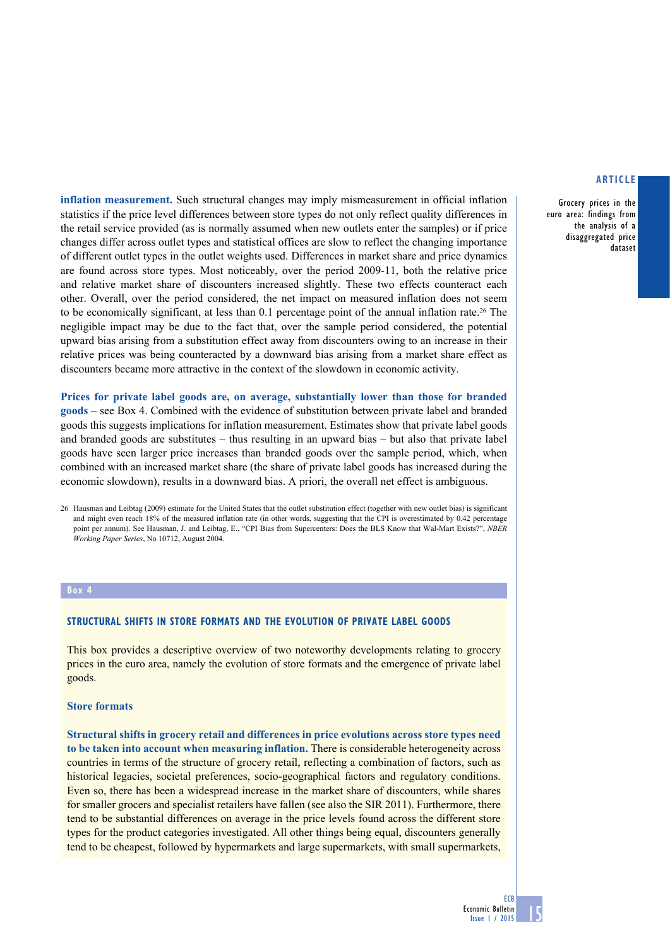Grocery prices in the euro area: findings from the analysis of a disaggregated price dataset

**inflation measurement.** Such structural changes may imply mismeasurement in official inflation statistics if the price level differences between store types do not only reflect quality differences in the retail service provided (as is normally assumed when new outlets enter the samples) or if price changes differ across outlet types and statistical offices are slow to reflect the changing importance of different outlet types in the outlet weights used. Differences in market share and price dynamics are found across store types. Most noticeably, over the period 2009-11, both the relative price and relative market share of discounters increased slightly. These two effects counteract each other. Overall, over the period considered, the net impact on measured inflation does not seem to be economically significant, at less than 0.1 percentage point of the annual inflation rate.26 The negligible impact may be due to the fact that, over the sample period considered, the potential upward bias arising from a substitution effect away from discounters owing to an increase in their relative prices was being counteracted by a downward bias arising from a market share effect as discounters became more attractive in the context of the slowdown in economic activity.

**Prices for private label goods are, on average, substantially lower than those for branded goods** – see Box 4. Combined with the evidence of substitution between private label and branded goods this suggests implications for inflation measurement. Estimates show that private label goods and branded goods are substitutes – thus resulting in an upward bias – but also that private label goods have seen larger price increases than branded goods over the sample period, which, when combined with an increased market share (the share of private label goods has increased during the economic slowdown), results in a downward bias. A priori, the overall net effect is ambiguous.

26 Hausman and Leibtag (2009) estimate for the United States that the outlet substitution effect (together with new outlet bias) is significant and might even reach 18% of the measured inflation rate (in other words, suggesting that the CPI is overestimated by 0.42 percentage point per annum). See Hausman, J. and Leibtag, E., "CPI Bias from Supercenters: Does the BLS Know that Wal-Mart Exists?", *NBER Working Paper Series*, No 10712, August 2004.

#### **Box 4**

## **Structural shifts in store formats and the evolution of private label goods**

This box provides a descriptive overview of two noteworthy developments relating to grocery prices in the euro area, namely the evolution of store formats and the emergence of private label goods.

#### **Store formats**

**Structural shifts in grocery retail and differences in price evolutions across store types need to be taken into account when measuring inflation.** There is considerable heterogeneity across countries in terms of the structure of grocery retail, reflecting a combination of factors, such as historical legacies, societal preferences, socio-geographical factors and regulatory conditions. Even so, there has been a widespread increase in the market share of discounters, while shares for smaller grocers and specialist retailers have fallen (see also the SIR 2011). Furthermore, there tend to be substantial differences on average in the price levels found across the different store types for the product categories investigated. All other things being equal, discounters generally tend to be cheapest, followed by hypermarkets and large supermarkets, with small supermarkets,

**ECB**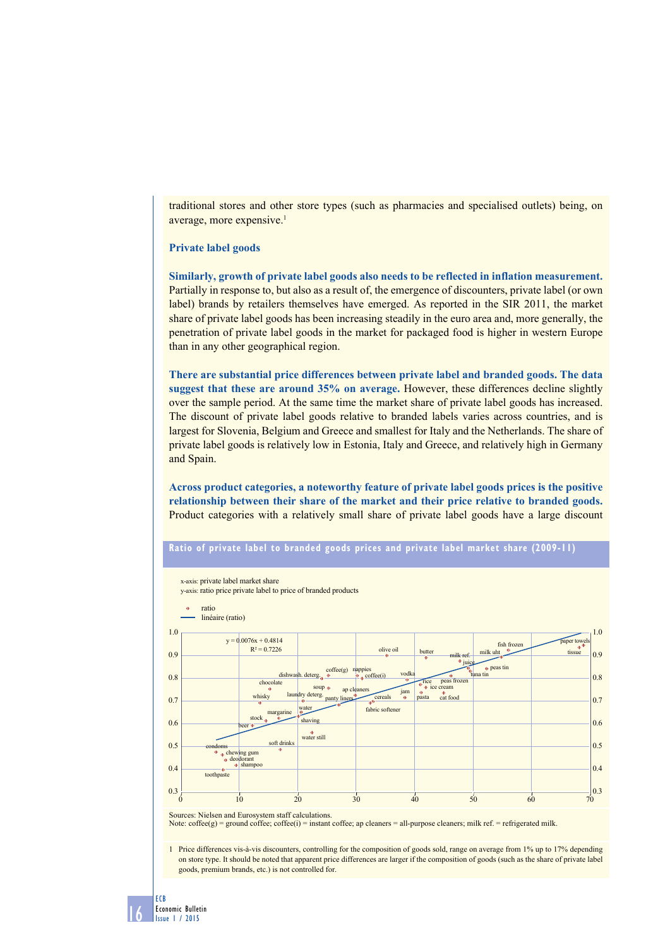traditional stores and other store types (such as pharmacies and specialised outlets) being, on average, more expensive.<sup>1</sup>

## **Private label goods**

**Similarly, growth of private label goods also needs to be reflected in inflation measurement.** Partially in response to, but also as a result of, the emergence of discounters, private label (or own label) brands by retailers themselves have emerged. As reported in the SIR 2011, the market share of private label goods has been increasing steadily in the euro area and, more generally, the penetration of private label goods in the market for packaged food is higher in western Europe than in any other geographical region.

**There are substantial price differences between private label and branded goods. The data suggest that these are around 35% on average.** However, these differences decline slightly over the sample period. At the same time the market share of private label goods has increased. The discount of private label goods relative to branded labels varies across countries, and is largest for Slovenia, Belgium and Greece and smallest for Italy and the Netherlands. The share of private label goods is relatively low in Estonia, Italy and Greece, and relatively high in Germany and Spain.

**Across product categories, a noteworthy feature of private label goods prices is the positive relationship between their share of the market and their price relative to branded goods.** Product categories with a relatively small share of private label goods have a large discount





Sources: Nielsen and Eurosystem staff calculations.

16

ECB

Economic Bulletin Issue 1 / 2015

Note:  $\text{cofree(g)} = \text{ground coffee; coffee(i)} = \text{instant coffee; ap clearers} = \text{all-purpose clearers; milk ref.} = \text{refrigerated milk.}$ 

1 Price differences vis-à-vis discounters, controlling for the composition of goods sold, range on average from 1% up to 17% depending on store type. It should be noted that apparent price differences are larger if the composition of goods (such as the share of private label goods, premium brands, etc.) is not controlled for.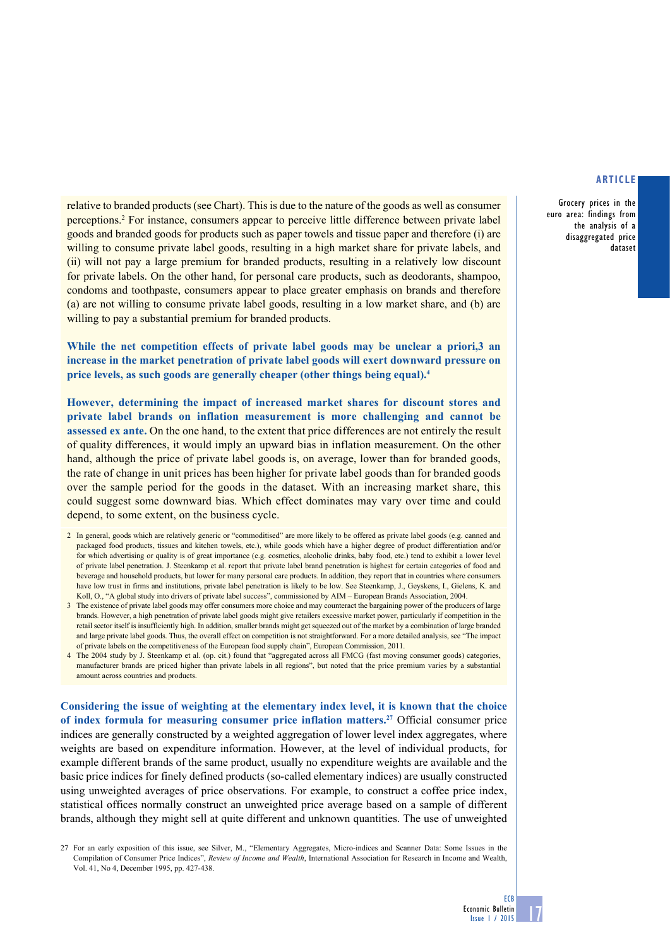Grocery prices in the euro area: findings from the analysis of a disaggregated price dataset

relative to branded products (see Chart). This is due to the nature of the goods as well as consumer perceptions.2 For instance, consumers appear to perceive little difference between private label goods and branded goods for products such as paper towels and tissue paper and therefore (i) are willing to consume private label goods, resulting in a high market share for private labels, and (ii) will not pay a large premium for branded products, resulting in a relatively low discount for private labels. On the other hand, for personal care products, such as deodorants, shampoo, condoms and toothpaste, consumers appear to place greater emphasis on brands and therefore (a) are not willing to consume private label goods, resulting in a low market share, and (b) are willing to pay a substantial premium for branded products.

**While the net competition effects of private label goods may be unclear a priori,3 an increase in the market penetration of private label goods will exert downward pressure on price levels, as such goods are generally cheaper (other things being equal).4**

**However, determining the impact of increased market shares for discount stores and private label brands on inflation measurement is more challenging and cannot be assessed ex ante.** On the one hand, to the extent that price differences are not entirely the result of quality differences, it would imply an upward bias in inflation measurement. On the other hand, although the price of private label goods is, on average, lower than for branded goods, the rate of change in unit prices has been higher for private label goods than for branded goods over the sample period for the goods in the dataset. With an increasing market share, this could suggest some downward bias. Which effect dominates may vary over time and could depend, to some extent, on the business cycle.

- 2 In general, goods which are relatively generic or "commoditised" are more likely to be offered as private label goods (e.g. canned and packaged food products, tissues and kitchen towels, etc.), while goods which have a higher degree of product differentiation and/or for which advertising or quality is of great importance (e.g. cosmetics, alcoholic drinks, baby food, etc.) tend to exhibit a lower level of private label penetration. J. Steenkamp et al. report that private label brand penetration is highest for certain categories of food and beverage and household products, but lower for many personal care products. In addition, they report that in countries where consumers have low trust in firms and institutions, private label penetration is likely to be low. See Steenkamp, J., Geyskens, I., Gielens, K. and Koll, O., "A global study into drivers of private label success", commissioned by AIM – European Brands Association, 2004.
- 3 The existence of private label goods may offer consumers more choice and may counteract the bargaining power of the producers of large brands. However, a high penetration of private label goods might give retailers excessive market power, particularly if competition in the retail sector itself is insufficiently high. In addition, smaller brands might get squeezed out of the market by a combination of large branded and large private label goods. Thus, the overall effect on competition is not straightforward. For a more detailed analysis, see "The impact of private labels on the competitiveness of the European food supply chain", European Commission, 2011.
- 4 The 2004 study by J. Steenkamp et al. (op. cit.) found that "aggregated across all FMCG (fast moving consumer goods) categories, manufacturer brands are priced higher than private labels in all regions", but noted that the price premium varies by a substantial amount across countries and products.

**Considering the issue of weighting at the elementary index level, it is known that the choice of index formula for measuring consumer price inflation matters.27** Official consumer price indices are generally constructed by a weighted aggregation of lower level index aggregates, where weights are based on expenditure information. However, at the level of individual products, for example different brands of the same product, usually no expenditure weights are available and the basic price indices for finely defined products (so-called elementary indices) are usually constructed using unweighted averages of price observations. For example, to construct a coffee price index, statistical offices normally construct an unweighted price average based on a sample of different brands, although they might sell at quite different and unknown quantities. The use of unweighted

**ECB** 

<sup>27</sup> For an early exposition of this issue, see Silver, M., "Elementary Aggregates, Micro-indices and Scanner Data: Some Issues in the Compilation of Consumer Price Indices", *Review of Income and Wealth*, International Association for Research in Income and Wealth, Vol. 41, No 4, December 1995, pp. 427-438.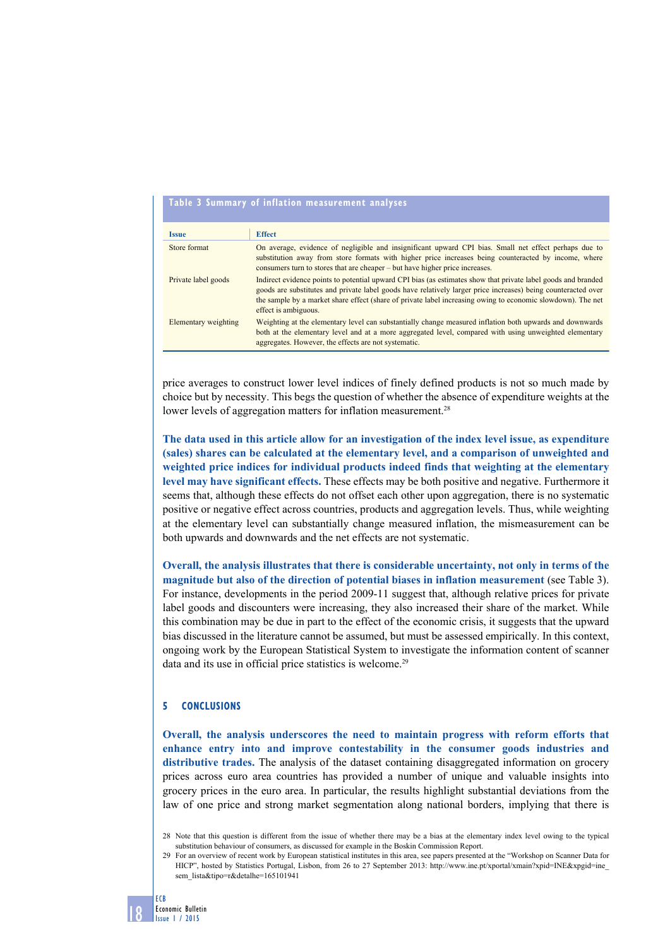### **Table 3 Summary of inflation measurement analyses**

| <b>Issue</b>         | <b>Effect</b>                                                                                                                                                                                                                                                                                                                                                         |
|----------------------|-----------------------------------------------------------------------------------------------------------------------------------------------------------------------------------------------------------------------------------------------------------------------------------------------------------------------------------------------------------------------|
| Store format         | On average, evidence of negligible and insignificant upward CPI bias. Small net effect perhaps due to<br>substitution away from store formats with higher price increases being counteracted by income, where<br>consumers turn to stores that are cheaper – but have higher price increases.                                                                         |
| Private label goods  | Indirect evidence points to potential upward CPI bias (as estimates show that private label goods and branded<br>goods are substitutes and private label goods have relatively larger price increases) being counteracted over<br>the sample by a market share effect (share of private label increasing owing to economic slowdown). The net<br>effect is ambiguous. |
| Elementary weighting | Weighting at the elementary level can substantially change measured inflation both upwards and downwards<br>both at the elementary level and at a more aggregated level, compared with using unweighted elementary<br>aggregates. However, the effects are not systematic.                                                                                            |

price averages to construct lower level indices of finely defined products is not so much made by choice but by necessity. This begs the question of whether the absence of expenditure weights at the lower levels of aggregation matters for inflation measurement.<sup>28</sup>

**The data used in this article allow for an investigation of the index level issue, as expenditure (sales) shares can be calculated at the elementary level, and a comparison of unweighted and weighted price indices for individual products indeed finds that weighting at the elementary level may have significant effects.** These effects may be both positive and negative. Furthermore it seems that, although these effects do not offset each other upon aggregation, there is no systematic positive or negative effect across countries, products and aggregation levels. Thus, while weighting at the elementary level can substantially change measured inflation, the mismeasurement can be both upwards and downwards and the net effects are not systematic.

**Overall, the analysis illustrates that there is considerable uncertainty, not only in terms of the magnitude but also of the direction of potential biases in inflation measurement** (see Table 3). For instance, developments in the period 2009-11 suggest that, although relative prices for private label goods and discounters were increasing, they also increased their share of the market. While this combination may be due in part to the effect of the economic crisis, it suggests that the upward bias discussed in the literature cannot be assumed, but must be assessed empirically. In this context, ongoing work by the European Statistical System to investigate the information content of scanner data and its use in official price statistics is welcome.<sup>29</sup>

#### **5 conclusions CONCLUSIONS**

**Overall, the analysis underscores the need to maintain progress with reform efforts that enhance entry into and improve contestability in the consumer goods industries and distributive trades.** The analysis of the dataset containing disaggregated information on grocery prices across euro area countries has provided a number of unique and valuable insights into grocery prices in the euro area. In particular, the results highlight substantial deviations from the law of one price and strong market segmentation along national borders, implying that there is

29 For an overview of recent work by European statistical institutes in this area, see papers presented at the "Workshop on Scanner Data for HICP", hosted by Statistics Portugal, Lisbon, from 26 to 27 September 2013: [http://www.ine.pt/xportal/xmain?xpid=INE&xpgid=ine\\_](http://www.ine.pt/xportal/xmain?xpid=INE&xpgid=ine_sem_lista&tipo=r&detalhe=165101941) [sem\\_lista&tipo=r&detalhe=165101941](http://www.ine.pt/xportal/xmain?xpid=INE&xpgid=ine_sem_lista&tipo=r&detalhe=165101941)

<sup>28</sup> Note that this question is different from the issue of whether there may be a bias at the elementary index level owing to the typical substitution behaviour of consumers, as discussed for example in the Boskin Commission Report.